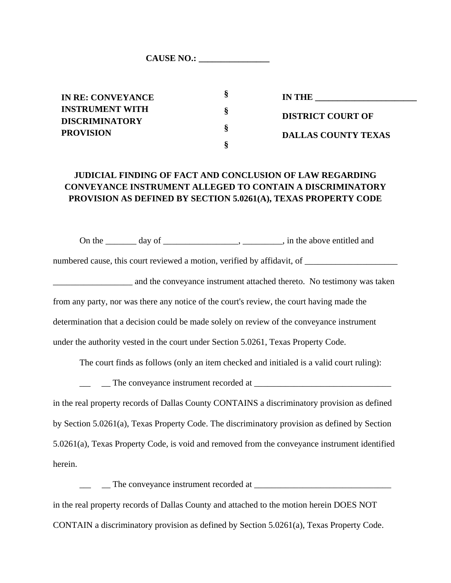CAUSE NO.:

**IN RE: CONVEYANCE INSTRUMENT WITH DISCRIMINATORY PROVISION**

**IN THE DISTRICT COURT OF DALLAS COUNTY TEXAS**

## **JUDICIAL FINDING OF FACT AND CONCLUSION OF LAW REGARDING CONVEYANCE INSTRUMENT ALLEGED TO CONTAIN A DISCRIMINATORY PROVISION AS DEFINED BY SECTION 5.0261(A), TEXAS PROPERTY CODE**

**§**

**§**

**§**

**§**

On the \_\_\_\_\_\_\_ day of \_\_\_\_\_\_\_\_\_\_\_\_\_\_\_\_, \_\_\_\_\_\_\_\_, in the above entitled and

numbered cause, this court reviewed a motion, verified by affidavit, of \_\_\_\_\_\_\_\_\_\_\_\_\_\_\_\_\_\_\_\_\_

and the conveyance instrument attached thereto. No testimony was taken from any party, nor was there any notice of the court's review, the court having made the determination that a decision could be made solely on review of the conveyance instrument under the authority vested in the court under Section 5.0261, Texas Property Code.

The court finds as follows (only an item checked and initialed is a valid court ruling):

 $\Box$  The conveyance instrument recorded at  $\Box$ in the real property records of Dallas County CONTAINS a discriminatory provision as defined by Section 5.0261(a), Texas Property Code. The discriminatory provision as defined by Section 5.0261(a), Texas Property Code, is void and removed from the conveyance instrument identified herein.

 $\Box$  The conveyance instrument recorded at  $\Box$ in the real property records of Dallas County and attached to the motion herein DOES NOT CONTAIN a discriminatory provision as defined by Section 5.0261(a), Texas Property Code.